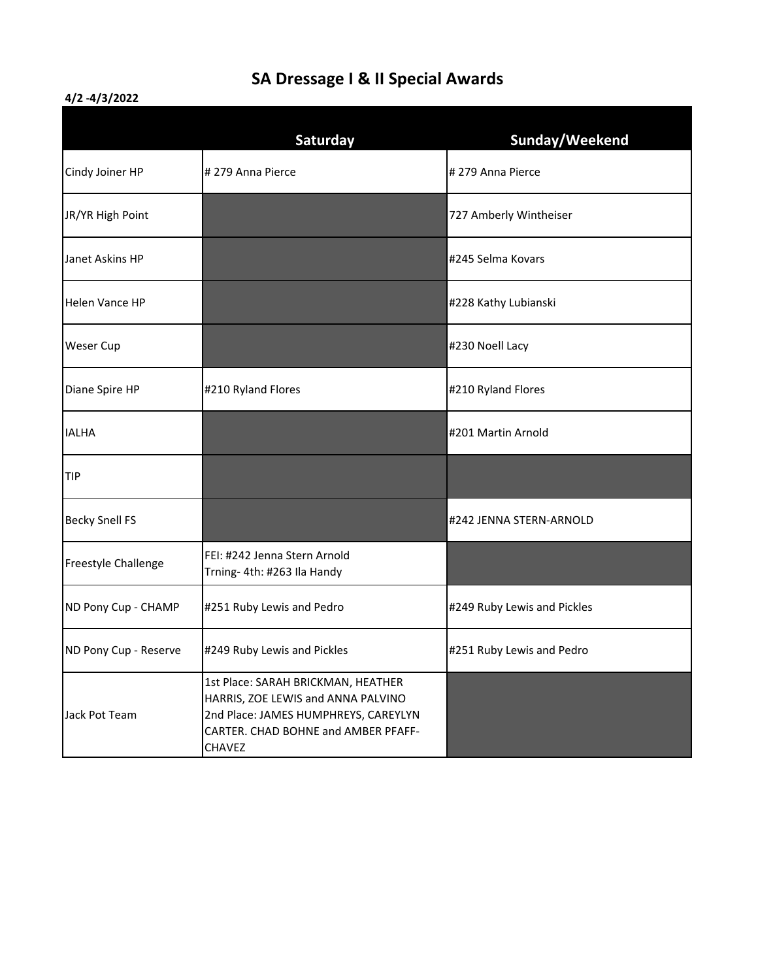## **SA Dressage I & II Special Awards**

## **4/2 -4/3/2022**

|                       | Saturday                                                                                                                                                                 | Sunday/Weekend              |
|-----------------------|--------------------------------------------------------------------------------------------------------------------------------------------------------------------------|-----------------------------|
| Cindy Joiner HP       | # 279 Anna Pierce                                                                                                                                                        | # 279 Anna Pierce           |
| JR/YR High Point      |                                                                                                                                                                          | 727 Amberly Wintheiser      |
| Janet Askins HP       |                                                                                                                                                                          | #245 Selma Kovars           |
| Helen Vance HP        |                                                                                                                                                                          | #228 Kathy Lubianski        |
| Weser Cup             |                                                                                                                                                                          | #230 Noell Lacy             |
| Diane Spire HP        | #210 Ryland Flores                                                                                                                                                       | #210 Ryland Flores          |
| <b>IALHA</b>          |                                                                                                                                                                          | #201 Martin Arnold          |
| <b>TIP</b>            |                                                                                                                                                                          |                             |
| <b>Becky Snell FS</b> |                                                                                                                                                                          | #242 JENNA STERN-ARNOLD     |
| Freestyle Challenge   | FEI: #242 Jenna Stern Arnold<br>Trning- 4th: #263 Ila Handy                                                                                                              |                             |
| ND Pony Cup - CHAMP   | #251 Ruby Lewis and Pedro                                                                                                                                                | #249 Ruby Lewis and Pickles |
| ND Pony Cup - Reserve | #249 Ruby Lewis and Pickles                                                                                                                                              | #251 Ruby Lewis and Pedro   |
| Jack Pot Team         | 1st Place: SARAH BRICKMAN, HEATHER<br>HARRIS, ZOE LEWIS and ANNA PALVINO<br>2nd Place: JAMES HUMPHREYS, CAREYLYN<br>CARTER. CHAD BOHNE and AMBER PFAFF-<br><b>CHAVEZ</b> |                             |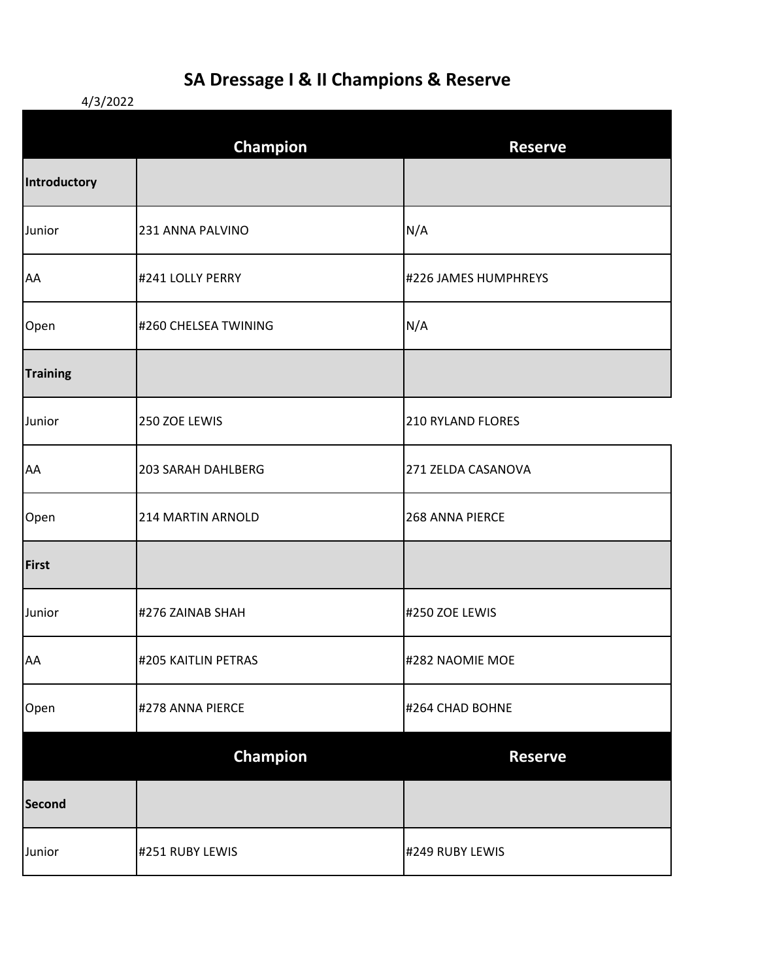## **SA Dressage I & II Champions & Reserve**

4/3/2022

|                 | <b>Champion</b>      | <b>Reserve</b>           |
|-----------------|----------------------|--------------------------|
| Introductory    |                      |                          |
| Junior          | 231 ANNA PALVINO     | N/A                      |
| AA              | #241 LOLLY PERRY     | #226 JAMES HUMPHREYS     |
| Open            | #260 CHELSEA TWINING | N/A                      |
| <b>Training</b> |                      |                          |
| Junior          | 250 ZOE LEWIS        | <b>210 RYLAND FLORES</b> |
| AA              | 203 SARAH DAHLBERG   | 271 ZELDA CASANOVA       |
| Open            | 214 MARTIN ARNOLD    | 268 ANNA PIERCE          |
| First           |                      |                          |
| Junior          | #276 ZAINAB SHAH     | #250 ZOE LEWIS           |
| AA              | #205 KAITLIN PETRAS  | #282 NAOMIE MOE          |
| Open            | #278 ANNA PIERCE     | #264 CHAD BOHNE          |
|                 | Champion             | <b>Reserve</b>           |
| Second          |                      |                          |
| Junior          | #251 RUBY LEWIS      | #249 RUBY LEWIS          |